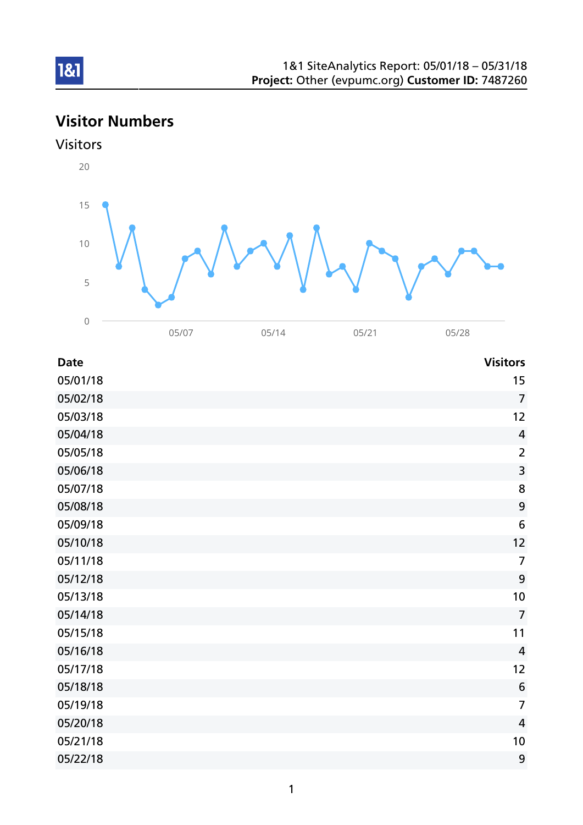# Visitor Numbers



| <b>Date</b> | <b>Visitors</b> |
|-------------|-----------------|
| 05/01/18    | 15              |
| 05/02/18    | $\overline{7}$  |
| 05/03/18    | 12              |
| 05/04/18    | $\overline{4}$  |
| 05/05/18    | $\overline{2}$  |
| 05/06/18    | $\overline{3}$  |
| 05/07/18    | 8               |
| 05/08/18    | 9               |
| 05/09/18    | $6\,$           |
| 05/10/18    | 12              |
| 05/11/18    | $\overline{7}$  |
| 05/12/18    | 9               |
| 05/13/18    | 10              |
| 05/14/18    | $\overline{7}$  |
| 05/15/18    | 11              |
| 05/16/18    | $\overline{4}$  |
| 05/17/18    | 12              |
| 05/18/18    | $6\phantom{1}6$ |
| 05/19/18    | $\overline{7}$  |
| 05/20/18    | $\overline{4}$  |
| 05/21/18    | 10              |
| 05/22/18    | 9               |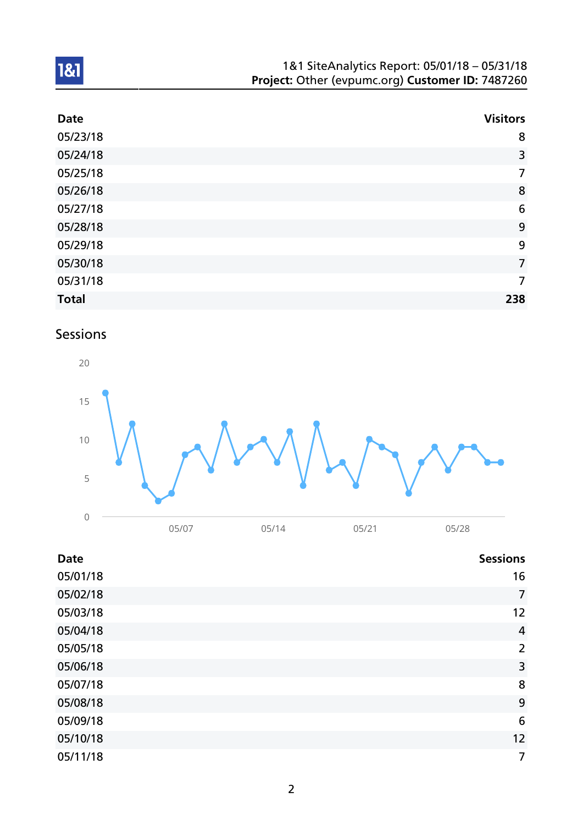| 1&1 SiteAnalytics Report: 05/01/18 - 05/31/18    |
|--------------------------------------------------|
| Project: Other (evpumc.org) Customer ID: 7487260 |

| <b>Date</b>  | <b>Visitors</b> |
|--------------|-----------------|
| 05/23/18     | 8               |
| 05/24/18     | 3               |
| 05/25/18     | $\overline{7}$  |
| 05/26/18     | 8               |
| 05/27/18     | 6               |
| 05/28/18     | 9               |
| 05/29/18     | 9               |
| 05/30/18     | $\overline{7}$  |
| 05/31/18     | $\overline{7}$  |
| <b>Total</b> | 238             |

# Sessions



| <b>Date</b> | <b>Sessions</b> |
|-------------|-----------------|
| 05/01/18    | 16              |
| 05/02/18    | $\overline{7}$  |
| 05/03/18    | 12              |
| 05/04/18    | $\overline{4}$  |
| 05/05/18    | $\overline{2}$  |
| 05/06/18    | 3               |
| 05/07/18    | 8               |
| 05/08/18    | 9               |
| 05/09/18    | 6               |
| 05/10/18    | 12              |
| 05/11/18    | 7               |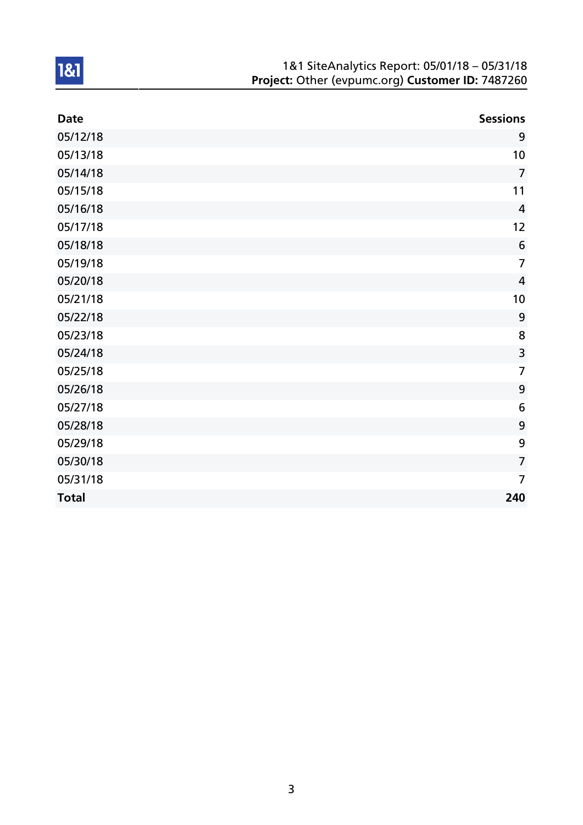| 1&1 SiteAnalytics Report: 05/01/18 - 05/31/18    |
|--------------------------------------------------|
| Project: Other (evpumc.org) Customer ID: 7487260 |

| <b>Date</b>  | <b>Sessions</b> |
|--------------|-----------------|
| 05/12/18     | 9               |
| 05/13/18     | 10              |
| 05/14/18     | $\overline{7}$  |
| 05/15/18     | 11              |
| 05/16/18     | $\overline{4}$  |
| 05/17/18     | 12              |
| 05/18/18     | $6\phantom{1}6$ |
| 05/19/18     | $\overline{7}$  |
| 05/20/18     | $\overline{4}$  |
| 05/21/18     | 10              |
| 05/22/18     | 9               |
| 05/23/18     | 8               |
| 05/24/18     | $\overline{3}$  |
| 05/25/18     | $\overline{7}$  |
| 05/26/18     | 9               |
| 05/27/18     | 6               |
| 05/28/18     | 9               |
| 05/29/18     | 9               |
| 05/30/18     | $\overline{7}$  |
| 05/31/18     | $\overline{7}$  |
| <b>Total</b> | 240             |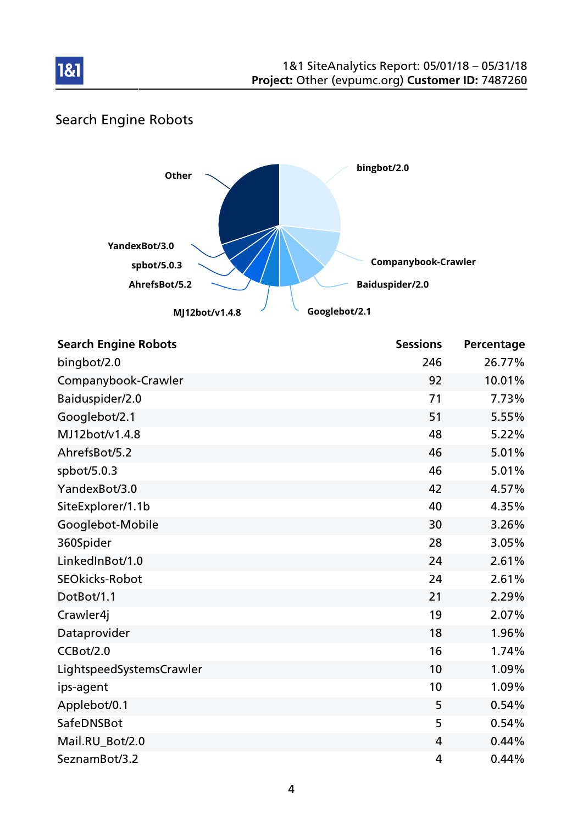

## Search Engine Robots



| <b>Search Engine Robots</b> | <b>Sessions</b> | Percentage |
|-----------------------------|-----------------|------------|
| bingbot/2.0                 | 246             | 26.77%     |
| Companybook-Crawler         | 92              | 10.01%     |
| Baiduspider/2.0             | 71              | 7.73%      |
| Googlebot/2.1               | 51              | 5.55%      |
| MJ12bot/v1.4.8              | 48              | 5.22%      |
| AhrefsBot/5.2               | 46              | 5.01%      |
| spbot/5.0.3                 | 46              | 5.01%      |
| YandexBot/3.0               | 42              | 4.57%      |
| SiteExplorer/1.1b           | 40              | 4.35%      |
| Googlebot-Mobile            | 30              | 3.26%      |
| 360Spider                   | 28              | 3.05%      |
| LinkedInBot/1.0             | 24              | 2.61%      |
| <b>SEOkicks-Robot</b>       | 24              | 2.61%      |
| DotBot/1.1                  | 21              | 2.29%      |
| Crawler4j                   | 19              | 2.07%      |
| Dataprovider                | 18              | 1.96%      |
| CCBot/2.0                   | 16              | 1.74%      |
| LightspeedSystemsCrawler    | 10              | 1.09%      |
| ips-agent                   | 10              | 1.09%      |
| Applebot/0.1                | 5               | 0.54%      |
| SafeDNSBot                  | 5               | 0.54%      |
| Mail.RU_Bot/2.0             | 4               | 0.44%      |
| SeznamBot/3.2               | 4               | 0.44%      |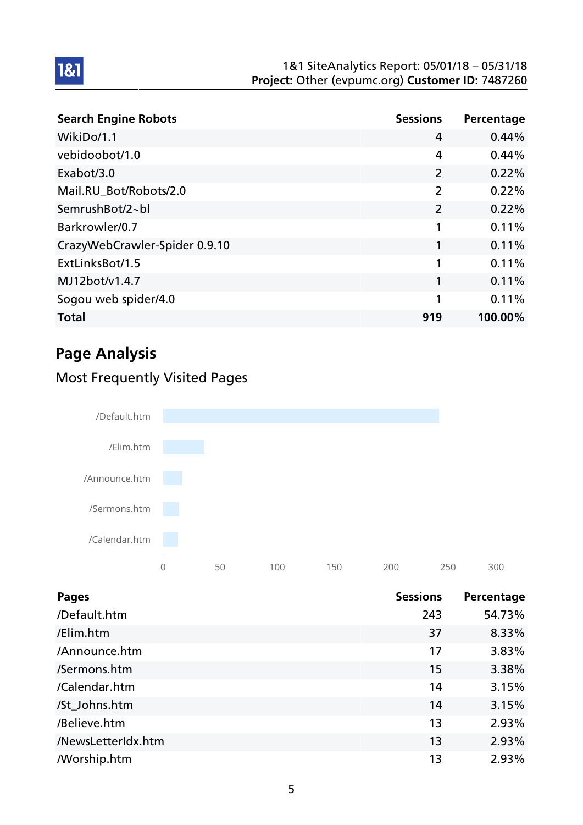#### 1&1 SiteAnalytics Report: 05/01/18 – 05/31/18 Project: Other (evpumc.org) Customer ID: 7487260

| <b>Search Engine Robots</b>   | <b>Sessions</b> | Percentage |
|-------------------------------|-----------------|------------|
| WikiDo/1.1                    | 4               | 0.44%      |
| vebidoobot/1.0                | 4               | 0.44%      |
| Exabot/3.0                    | $\overline{2}$  | 0.22%      |
| Mail.RU_Bot/Robots/2.0        | $\overline{2}$  | 0.22%      |
| SemrushBot/2~bl               | $\overline{2}$  | 0.22%      |
| Barkrowler/0.7                | 1               | 0.11%      |
| CrazyWebCrawler-Spider 0.9.10 | 1               | 0.11%      |
| ExtLinksBot/1.5               | 1               | 0.11%      |
| MJ12bot/v1.4.7                | 1               | 0.11%      |
| Sogou web spider/4.0          | 1               | 0.11%      |
| <b>Total</b>                  | 919             | 100.00%    |

# Page Analysis

1&1

## Most Frequently Visited Pages



| <b>Pages</b>       | <b>Sessions</b> | Percentage |
|--------------------|-----------------|------------|
| /Default.htm       | 243             | 54.73%     |
| /Elim.htm          | 37              | 8.33%      |
| /Announce.htm      | 17              | 3.83%      |
| /Sermons.htm       | 15              | 3.38%      |
| /Calendar.htm      | 14              | 3.15%      |
| /St_Johns.htm      | 14              | 3.15%      |
| /Believe.htm       | 13              | 2.93%      |
| /NewsLetterIdx.htm | 13              | 2.93%      |
| <b>Morship.htm</b> | 13              | 2.93%      |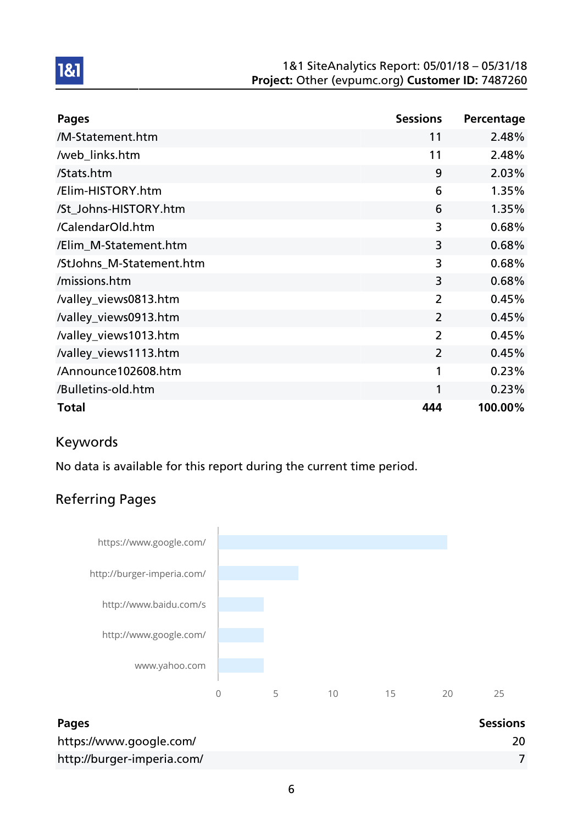#### 1&1 SiteAnalytics Report: 05/01/18 – 05/31/18 Project: Other (evpumc.org) Customer ID: 7487260

| <b>Pages</b>             | <b>Sessions</b> | Percentage |
|--------------------------|-----------------|------------|
| /M-Statement.htm         | 11              | 2.48%      |
| /web_links.htm           | 11              | 2.48%      |
| /Stats.htm               | 9               | 2.03%      |
| /Elim-HISTORY.htm        | 6               | 1.35%      |
| /St_Johns-HISTORY.htm    | 6               | 1.35%      |
| /CalendarOld.htm         | 3               | 0.68%      |
| /Elim_M-Statement.htm    | 3               | 0.68%      |
| /StJohns_M-Statement.htm | 3               | 0.68%      |
| /missions.htm            | 3               | 0.68%      |
| /valley_views0813.htm    | $\overline{2}$  | 0.45%      |
| /valley_views0913.htm    | $\overline{2}$  | 0.45%      |
| /valley_views1013.htm    | $\overline{2}$  | 0.45%      |
| /valley_views1113.htm    | $\overline{2}$  | 0.45%      |
| /Announce102608.htm      | 1               | 0.23%      |
| /Bulletins-old.htm       | 1               | 0.23%      |
| <b>Total</b>             | 444             | 100.00%    |

### Keywords

1&1

No data is available for this report during the current time period.

## Referring Pages



| <b>Pages</b>               | <b>Sessions</b> |
|----------------------------|-----------------|
| https://www.google.com/    | 20              |
| http://burger-imperia.com/ |                 |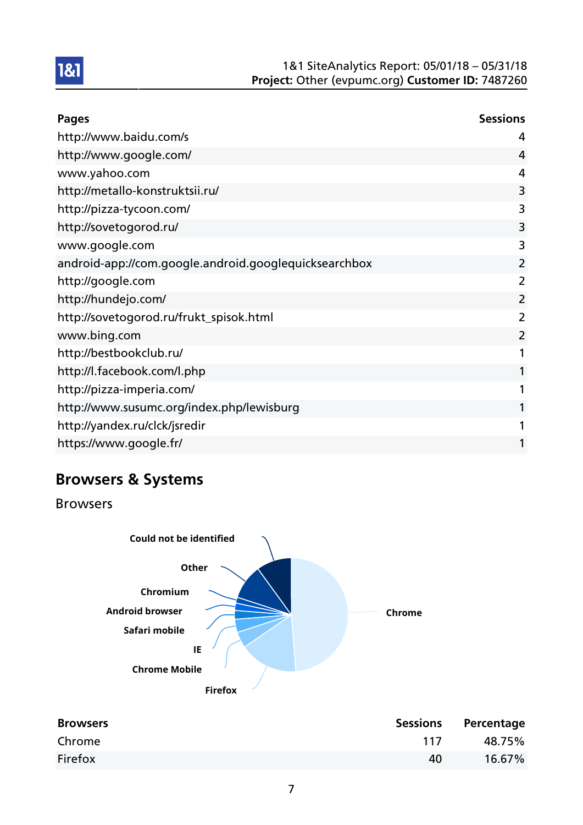

| <b>Pages</b>                                          | <b>Sessions</b> |
|-------------------------------------------------------|-----------------|
| http://www.baidu.com/s                                | 4               |
| http://www.google.com/                                | 4               |
| www.yahoo.com                                         | 4               |
| http://metallo-konstruktsii.ru/                       | 3               |
| http://pizza-tycoon.com/                              | 3               |
| http://sovetogorod.ru/                                | 3               |
| www.google.com                                        | 3               |
| android-app://com.google.android.googlequicksearchbox | $\overline{2}$  |
| http://google.com                                     | 2               |
| http://hundejo.com/                                   | 2               |
| http://sovetogorod.ru/frukt_spisok.html               | 2               |
| www.bing.com                                          | 2               |
| http://bestbookclub.ru/                               | 1               |
| http://l.facebook.com/l.php                           | 1               |
| http://pizza-imperia.com/                             | 1               |
| http://www.susumc.org/index.php/lewisburg             | 1               |
| http://yandex.ru/clck/jsredir                         | 1               |
| https://www.google.fr/                                | 1               |

# Browsers & Systems

Browsers



| <b>Browsers</b> |     | Sessions Percentage |
|-----------------|-----|---------------------|
| Chrome          | 117 | 48.75%              |
| Firefox         | 40  | 16.67%              |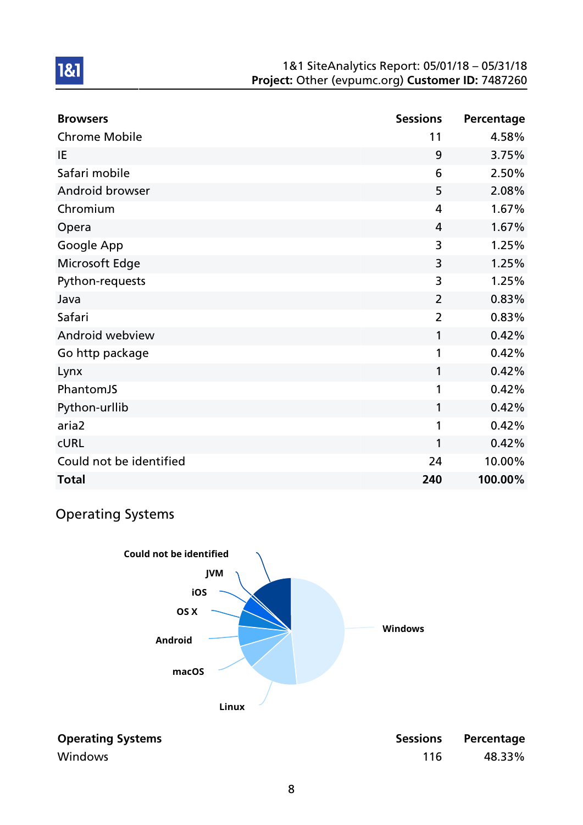#### 1&1 SiteAnalytics Report: 05/01/18 – 05/31/18 Project: Other (evpumc.org) Customer ID: 7487260

| <b>Browsers</b>         | <b>Sessions</b> | Percentage |
|-------------------------|-----------------|------------|
| <b>Chrome Mobile</b>    | 11              | 4.58%      |
| IE                      | 9               | 3.75%      |
| Safari mobile           | 6               | 2.50%      |
| Android browser         | 5               | 2.08%      |
| Chromium                | 4               | 1.67%      |
| Opera                   | $\overline{4}$  | 1.67%      |
| Google App              | 3               | 1.25%      |
| Microsoft Edge          | 3               | 1.25%      |
| Python-requests         | 3               | 1.25%      |
| Java                    | $\overline{2}$  | 0.83%      |
| Safari                  | $\overline{2}$  | 0.83%      |
| Android webview         | 1               | 0.42%      |
| Go http package         | 1               | 0.42%      |
| Lynx                    | 1               | 0.42%      |
| PhantomJS               | 1               | 0.42%      |
| Python-urllib           | 1               | 0.42%      |
| aria2                   | 1               | 0.42%      |
| <b>CURL</b>             | 1               | 0.42%      |
| Could not be identified | 24              | 10.00%     |
| <b>Total</b>            | 240             | 100.00%    |

## Operating Systems



| <b>Operating Systems</b> |  |
|--------------------------|--|
| Windows                  |  |

| <b>Operating Systems</b> |     | Sessions Percentage |
|--------------------------|-----|---------------------|
| Windows                  | 116 | 48.33%              |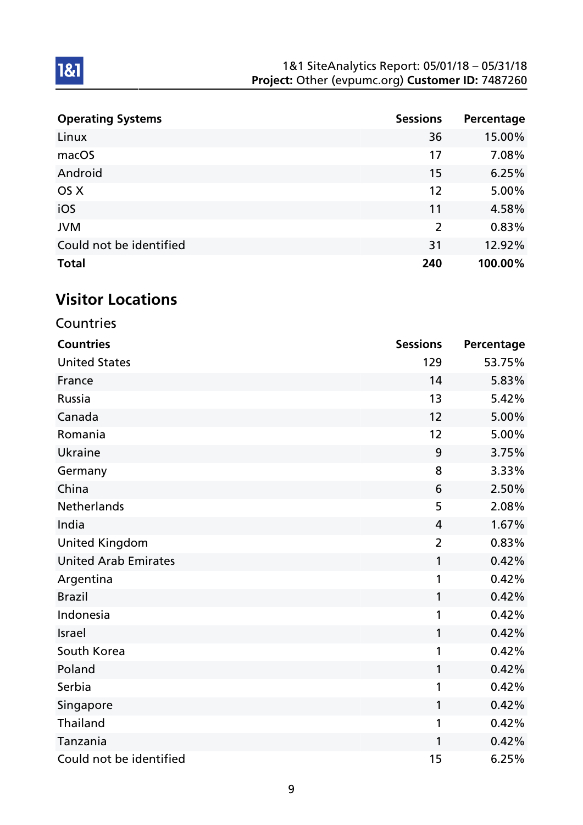| <b>Operating Systems</b> | <b>Sessions</b> | Percentage |
|--------------------------|-----------------|------------|
| Linux                    | 36              | 15.00%     |
| macOS                    | 17              | 7.08%      |
| Android                  | 15              | 6.25%      |
| OS X                     | 12              | 5.00%      |
| iOS                      | 11              | 4.58%      |
| <b>JVM</b>               | 2               | 0.83%      |
| Could not be identified  | 31              | 12.92%     |
| <b>Total</b>             | 240             | 100.00%    |

# Visitor Locations

1&1

| Countries                   |                 |            |
|-----------------------------|-----------------|------------|
| <b>Countries</b>            | <b>Sessions</b> | Percentage |
| <b>United States</b>        | 129             | 53.75%     |
| France                      | 14              | 5.83%      |
| Russia                      | 13              | 5.42%      |
| Canada                      | 12              | 5.00%      |
| Romania                     | 12              | 5.00%      |
| <b>Ukraine</b>              | 9               | 3.75%      |
| Germany                     | 8               | 3.33%      |
| China                       | 6               | 2.50%      |
| <b>Netherlands</b>          | 5               | 2.08%      |
| India                       | 4               | 1.67%      |
| <b>United Kingdom</b>       | $\overline{2}$  | 0.83%      |
| <b>United Arab Emirates</b> | 1               | 0.42%      |
| Argentina                   | 1               | 0.42%      |
| <b>Brazil</b>               | 1               | 0.42%      |
| Indonesia                   | 1               | 0.42%      |
| Israel                      | 1               | 0.42%      |
| South Korea                 | 1               | 0.42%      |
| Poland                      | 1               | 0.42%      |
| Serbia                      | 1               | 0.42%      |
| Singapore                   | 1               | 0.42%      |
| <b>Thailand</b>             | 1               | 0.42%      |
| Tanzania                    | 1               | 0.42%      |
| Could not be identified     | 15              | 6.25%      |

9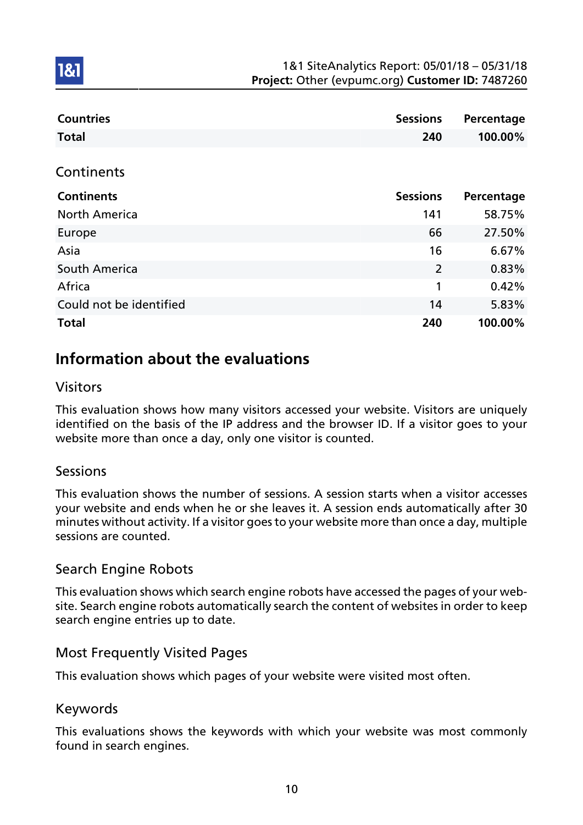| <b>Countries</b>        | <b>Sessions</b> | Percentage |
|-------------------------|-----------------|------------|
| <b>Total</b>            | 240             | 100.00%    |
|                         |                 |            |
| Continents              |                 |            |
| <b>Continents</b>       | <b>Sessions</b> | Percentage |
| <b>North America</b>    | 141             | 58.75%     |
| Europe                  | 66              | 27.50%     |
| Asia                    | 16              | 6.67%      |
| South America           | $\overline{2}$  | 0.83%      |
| Africa                  | 1               | 0.42%      |
| Could not be identified | 14              | 5.83%      |
| <b>Total</b>            | 240             | 100.00%    |

## Information about the evaluations

### Visitors

181

This evaluation shows how many visitors accessed your website. Visitors are uniquely identified on the basis of the IP address and the browser ID. If a visitor goes to your website more than once a day, only one visitor is counted.

### Sessions

This evaluation shows the number of sessions. A session starts when a visitor accesses your website and ends when he or she leaves it. A session ends automatically after 30 minutes without activity. If a visitor goes to your website more than once a day, multiple sessions are counted.

### Search Engine Robots

This evaluation shows which search engine robots have accessed the pages of your website. Search engine robots automatically search the content of websites in order to keep search engine entries up to date.

### Most Frequently Visited Pages

This evaluation shows which pages of your website were visited most often.

### Keywords

This evaluations shows the keywords with which your website was most commonly found in search engines.